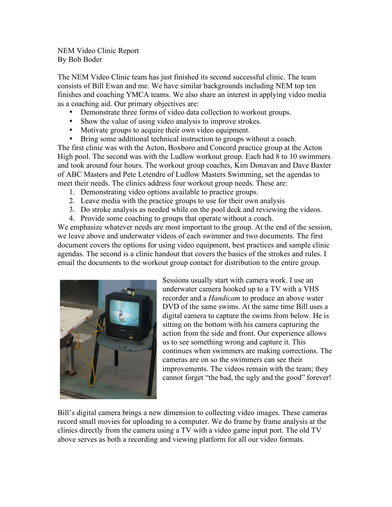NEM Video Clinic Report By Bob Boder

The NEM Video Clinic team has just finished its second successful clinic. The team consists of Bill Ewan and me. We have similar backgrounds including NEM top ten finishes and coaching YMCA teams. We also share an interest in applying video media as a coaching aid. Our primary objectives are:

- Demonstrate three forms of video data collection to workout groups.
- Show the value of using video analysis to improve strokes.
- Motivate groups to acquire their own video equipment.
- Bring some additional technical instruction to groups without a coach.

The first clinic was with the Acton, Boxboro and Concord practice group at the Acton High pool. The second was with the Ludlow workout group. Each had 8 to 10 swimmers and took around four hours. The workout group coaches, Kim Donavan and Dave Baxter of ABC Masters and Pete Letendre of Ludlow Masters Swimming, set the agendas to meet their needs. The clinics address four workout group needs. These are:

- 1. Demonstrating video options available to practice groups.
- 2. Leave media with the practice groups to use for their own analysis
- 3. Do stroke analysis as needed while on the pool deck and reviewing the videos.
- 4. Provide some coaching to groups that operate without a coach.

We emphasize whatever needs are most important to the group. At the end of the session, we leave above and underwater videos of each swimmer and two documents. The first document covers the options for using video equipment, best practices and sample clinic agendas. The second is a clinic handout that covers the basics of the strokes and rules. I email the documents to the workout group contact for distribution to the entire group.



Sessions usually start with camera work. I use an underwater camera hooked up to a TV with a VHS recorder and a *Handicam* to produce an above water DVD of the same swims. At the same time Bill uses a digital camera to capture the swims from below. He is sitting on the bottom with his camera capturing the action from the side and front. Our experience allows us to see something wrong and capture it. This continues when swimmers are making corrections. The cameras are on so the swimmers can see their improvements. The videos remain with the team; they cannot forget "the bad, the ugly and the good" forever!

Bill's digital camera brings a new dimension to collecting video images. These cameras record small movies for uploading to a computer. We do frame by frame analysis at the clinics directly from the camera using a TV with a video game input port. The old TV above serves as both a recording and viewing platform for all our video formats.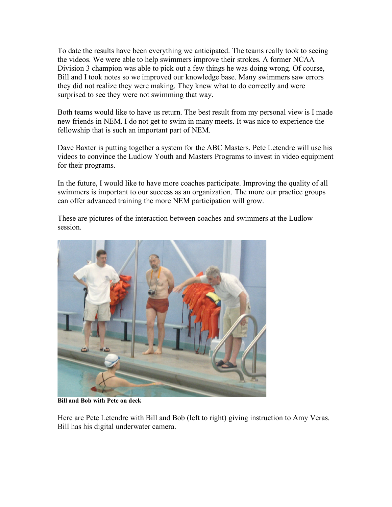To date the results have been everything we anticipated. The teams really took to seeing the videos. We were able to help swimmers improve their strokes. A former NCAA Division 3 champion was able to pick out a few things he was doing wrong. Of course, Bill and I took notes so we improved our knowledge base. Many swimmers saw errors they did not realize they were making. They knew what to do correctly and were surprised to see they were not swimming that way.

Both teams would like to have us return. The best result from my personal view is I made new friends in NEM. I do not get to swim in many meets. It was nice to experience the fellowship that is such an important part of NEM.

Dave Baxter is putting together a system for the ABC Masters. Pete Letendre will use his videos to convince the Ludlow Youth and Masters Programs to invest in video equipment for their programs.

In the future, I would like to have more coaches participate. Improving the quality of all swimmers is important to our success as an organization. The more our practice groups can offer advanced training the more NEM participation will grow.

These are pictures of the interaction between coaches and swimmers at the Ludlow session.



**Bill and Bob with Pete on deck**

Here are Pete Letendre with Bill and Bob (left to right) giving instruction to Amy Veras. Bill has his digital underwater camera.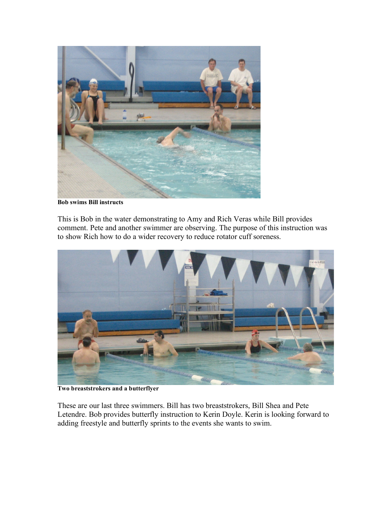

**Bob swims Bill instructs**

This is Bob in the water demonstrating to Amy and Rich Veras while Bill provides comment. Pete and another swimmer are observing. The purpose of this instruction was to show Rich how to do a wider recovery to reduce rotator cuff soreness.



**Two breaststrokers and a butterflyer**

These are our last three swimmers. Bill has two breaststrokers, Bill Shea and Pete Letendre. Bob provides butterfly instruction to Kerin Doyle. Kerin is looking forward to adding freestyle and butterfly sprints to the events she wants to swim.